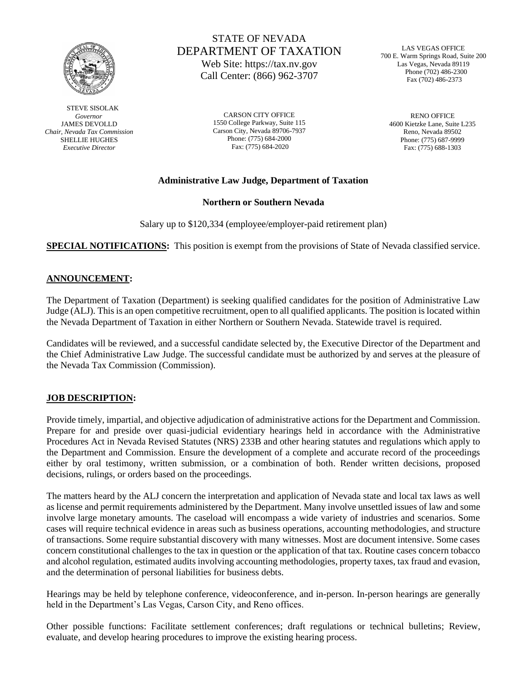

 STEVE SISOLAK  *Governor* JAMES DEVOLLD *Chair, Nevada Tax Commission* SHELLIE HUGHES *Executive Director*

# STATE OF NEVADA DEPARTMENT OF TAXATION Web Site: https://tax.nv.gov

Call Center: (866) 962-3707

CARSON CITY OFFICE 1550 College Parkway, Suite 115 Carson City, Nevada 89706-7937 Phone: (775) 684-2000 Fax: (775) 684-2020

LAS VEGAS OFFICE 700 E. Warm Springs Road, Suite 200 Las Vegas, Nevada 89119 Phone (702) 486-2300 Fax (702) 486-2373

 RENO OFFICE 4600 Kietzke Lane, Suite L235 Reno, Nevada 89502 Phone: (775) 687-9999 Fax: (775) 688-1303

### **Administrative Law Judge, Department of Taxation**

**Northern or Southern Nevada**

Salary up to \$120,334 (employee/employer-paid retirement plan)

**SPECIAL NOTIFICATIONS:** This position is exempt from the provisions of State of Nevada classified service.

### **ANNOUNCEMENT:**

The Department of Taxation (Department) is seeking qualified candidates for the position of Administrative Law Judge (ALJ). This is an open competitive recruitment, open to all qualified applicants. The position is located within the Nevada Department of Taxation in either Northern or Southern Nevada. Statewide travel is required.

Candidates will be reviewed, and a successful candidate selected by, the Executive Director of the Department and the Chief Administrative Law Judge. The successful candidate must be authorized by and serves at the pleasure of the Nevada Tax Commission (Commission).

#### **JOB DESCRIPTION:**

Provide timely, impartial, and objective adjudication of administrative actions for the Department and Commission. Prepare for and preside over quasi-judicial evidentiary hearings held in accordance with the Administrative Procedures Act in Nevada Revised Statutes (NRS) 233B and other hearing statutes and regulations which apply to the Department and Commission. Ensure the development of a complete and accurate record of the proceedings either by oral testimony, written submission, or a combination of both. Render written decisions, proposed decisions, rulings, or orders based on the proceedings.

The matters heard by the ALJ concern the interpretation and application of Nevada state and local tax laws as well as license and permit requirements administered by the Department. Many involve unsettled issues of law and some involve large monetary amounts. The caseload will encompass a wide variety of industries and scenarios. Some cases will require technical evidence in areas such as business operations, accounting methodologies, and structure of transactions. Some require substantial discovery with many witnesses. Most are document intensive. Some cases concern constitutional challenges to the tax in question or the application of that tax. Routine cases concern tobacco and alcohol regulation, estimated audits involving accounting methodologies, property taxes, tax fraud and evasion, and the determination of personal liabilities for business debts.

Hearings may be held by telephone conference, videoconference, and in-person. In-person hearings are generally held in the Department's Las Vegas, Carson City, and Reno offices.

Other possible functions: Facilitate settlement conferences; draft regulations or technical bulletins; Review, evaluate, and develop hearing procedures to improve the existing hearing process.